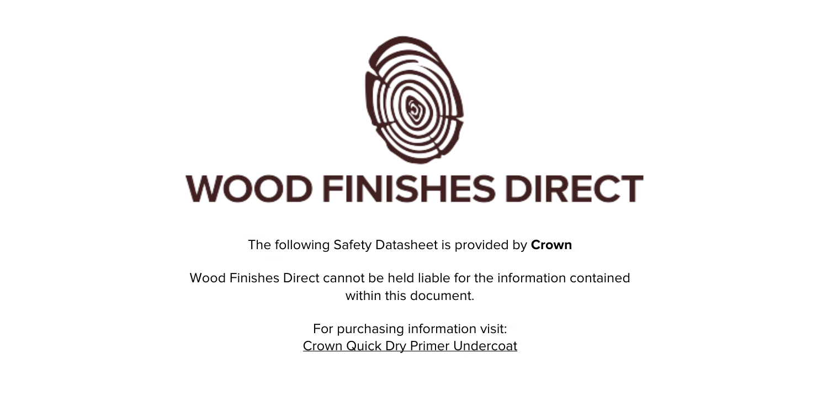

The following Safety Datasheet is provided by **Crown**

Wood Finishes Direct cannot be held liable for the information contained within this document

> For purchasing information visit: [Crown Quick Dry Primer Undercoat](https://www.wood-finishes-direct.com/product/crown-quick-dry-undercoat)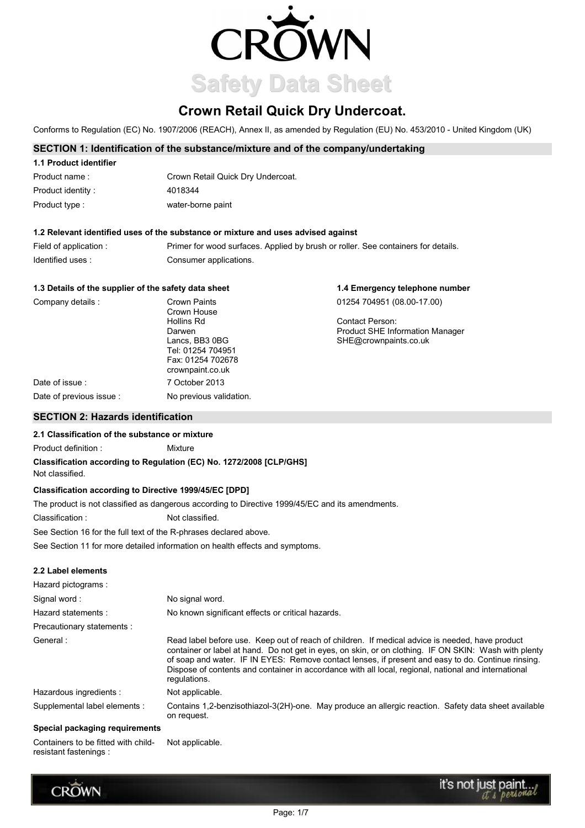

# **Crown Retail Quick Dry Undercoat.**

1.4 Emergency telephone number

Conforms to Regulation (EC) No. 1907/2006 (REACH), Annex II, as amended by Regulation (EU) No. 453/2010 - United Kingdom (UK)

### SECTION 1: Identification of the substance/mixture and of the company/undertaking

| 1.1 Product identifier |                                   |
|------------------------|-----------------------------------|
| Product name:          | Crown Retail Quick Dry Undercoat. |
| Product identity:      | 4018344                           |
| Product type :         | water-borne paint                 |

# 1.2 Relevant identified uses of the substance or mixture and uses advised against

| Field of application : | Primer for wood surfaces. Applied by brush or roller. See containers for details. |
|------------------------|-----------------------------------------------------------------------------------|
| Identified uses:       | Consumer applications.                                                            |

### 1.3 Details of the supplier of the safety data sheet

| Company details :        | Crown Paints<br>Crown House                                                  | 01254 704951 (08.00-17.00)             |
|--------------------------|------------------------------------------------------------------------------|----------------------------------------|
|                          | Hollins Rd                                                                   | Contact Person:                        |
|                          | Darwen                                                                       | <b>Product SHE Information Manager</b> |
|                          | Lancs, BB3 0BG<br>Tel: 01254 704951<br>Fax: 01254 702678<br>crownpaint.co.uk | SHE@crownpaints.co.uk                  |
| Date of issue :          | 7 October 2013                                                               |                                        |
| Date of previous issue : | No previous validation.                                                      |                                        |

# **SECTION 2: Hazards identification**

### 2.1 Classification of the substance or mixture

Product definition : Mixture

# Classification according to Regulation (EC) No. 1272/2008 [CLP/GHS]

Not classified.

# Classification according to Directive 1999/45/EC [DPD]

The product is not classified as dangerous according to Directive 1999/45/EC and its amendments.

Classification: Not classified.

See Section 16 for the full text of the R-phrases declared above.

See Section 11 for more detailed information on health effects and symptoms.

### 2.2 Label elements

| Hazard pictograms:            |                                                                                                                                                                                                                                                                                                                                                                                                                                        |
|-------------------------------|----------------------------------------------------------------------------------------------------------------------------------------------------------------------------------------------------------------------------------------------------------------------------------------------------------------------------------------------------------------------------------------------------------------------------------------|
| Signal word:                  | No signal word.                                                                                                                                                                                                                                                                                                                                                                                                                        |
| Hazard statements:            | No known significant effects or critical hazards.                                                                                                                                                                                                                                                                                                                                                                                      |
| Precautionary statements :    |                                                                                                                                                                                                                                                                                                                                                                                                                                        |
| General:                      | Read label before use. Keep out of reach of children. If medical advice is needed, have product<br>container or label at hand. Do not get in eyes, on skin, or on clothing. IF ON SKIN: Wash with plenty<br>of soap and water. IF IN EYES: Remove contact lenses, if present and easy to do. Continue rinsing.<br>Dispose of contents and container in accordance with all local, regional, national and international<br>requlations. |
| Hazardous ingredients :       | Not applicable.                                                                                                                                                                                                                                                                                                                                                                                                                        |
| Supplemental label elements : | Contains 1,2-benzisothiazol-3(2H)-one. May produce an allergic reaction. Safety data sheet available<br>on request.                                                                                                                                                                                                                                                                                                                    |
| Cassial paskaning rapidentes  |                                                                                                                                                                                                                                                                                                                                                                                                                                        |

# **Special packaging requirements**

Containers to be fitted with child- Not applicable. resistant fastenings :

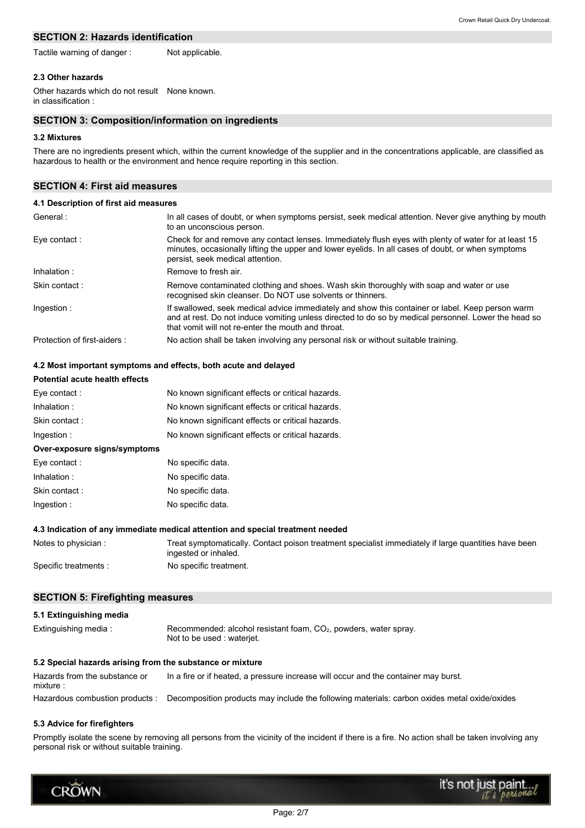# **SECTION 2: Hazards identification**

Tactile warning of danger: Not applicable.

### 2.3 Other hazards

Other hazards which do not result None known. in classification :

# **SECTION 3: Composition/information on ingredients**

### 3.2 Mixtures

There are no ingredients present which, within the current knowledge of the supplier and in the concentrations applicable, are classified as hazardous to health or the environment and hence require reporting in this section.

### **SECTION 4: First aid measures**

### 4.1 Description of first aid measures

| General:                    | In all cases of doubt, or when symptoms persist, seek medical attention. Never give anything by mouth<br>to an unconscious person.                                                                                                                             |
|-----------------------------|----------------------------------------------------------------------------------------------------------------------------------------------------------------------------------------------------------------------------------------------------------------|
| Eye contact:                | Check for and remove any contact lenses. Immediately flush eyes with plenty of water for at least 15<br>minutes, occasionally lifting the upper and lower eyelids. In all cases of doubt, or when symptoms<br>persist, seek medical attention.                 |
| Inhalation:                 | Remove to fresh air.                                                                                                                                                                                                                                           |
| Skin contact:               | Remove contaminated clothing and shoes. Wash skin thoroughly with soap and water or use<br>recognised skin cleanser. Do NOT use solvents or thinners.                                                                                                          |
| Ingestion:                  | If swallowed, seek medical advice immediately and show this container or label. Keep person warm<br>and at rest. Do not induce vomiting unless directed to do so by medical personnel. Lower the head so<br>that vomit will not re-enter the mouth and throat. |
| Protection of first-aiders: | No action shall be taken involving any personal risk or without suitable training.                                                                                                                                                                             |

# 4.2 Most important symptoms and effects, both acute and delayed

| Potential acute health effects |                                                   |
|--------------------------------|---------------------------------------------------|
| Eve contact :                  | No known significant effects or critical hazards. |
| Inhalation:                    | No known significant effects or critical hazards. |
| Skin contact:                  | No known significant effects or critical hazards. |
| Ingestion:                     | No known significant effects or critical hazards. |
| Over-exposure signs/symptoms   |                                                   |
| Eye contact :                  | No specific data.                                 |
| Inhalation:                    | No specific data.                                 |
| Skin contact:                  | No specific data.                                 |
| Ingestion:                     | No specific data.                                 |
|                                |                                                   |

### 4.3 Indication of any immediate medical attention and special treatment needed

| Notes to physician:  | Treat symptomatically. Contact poison treatment specialist immediately if large quantities have been |
|----------------------|------------------------------------------------------------------------------------------------------|
|                      | ingested or inhaled.                                                                                 |
| Specific treatments: | No specific treatment.                                                                               |

# **SECTION 5: Firefighting measures**

| 5.1 Extinguishing media                                   |                                                                                                           |
|-----------------------------------------------------------|-----------------------------------------------------------------------------------------------------------|
| Extinguishing media:                                      | Recommended: alcohol resistant foam, CO <sub>2</sub> , powders, water spray.<br>Not to be used: wateriet. |
| 5.2 Special hazards arising from the substance or mixture |                                                                                                           |
| Hazards from the substance or<br>mixture:                 | In a fire or if heated, a pressure increase will occur and the container may burst.                       |

Hazardous combustion products : Decomposition products may include the following materials: carbon oxides metal oxide/oxides

### 5.3 Advice for firefighters

**CROWN** 

Promptly isolate the scene by removing all persons from the vicinity of the incident if there is a fire. No action shall be taken involving any personal risk or without suitable training.

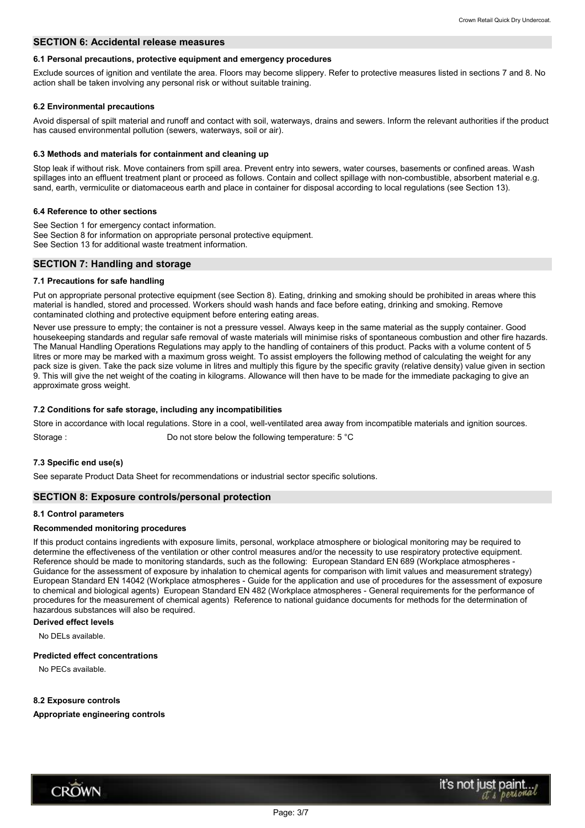### **SECTION 6: Accidental release measures**

#### 6.1 Personal precautions, protective equipment and emergency procedures

Exclude sources of ignition and ventilate the area. Floors may become slippery. Refer to protective measures listed in sections 7 and 8. No action shall be taken involving any personal risk or without suitable training.

### **6.2 Environmental precautions**

Avoid dispersal of spilt material and runoff and contact with soil, waterways, drains and sewers. Inform the relevant authorities if the product has caused environmental pollution (sewers, waterways, soil or air).

### 6.3 Methods and materials for containment and cleaning up

Stop leak if without risk. Move containers from spill area. Prevent entry into sewers, water courses, basements or confined areas. Wash spillages into an effluent treatment plant or proceed as follows. Contain and collect spillage with non-combustible, absorbent material e.g. sand, earth, vermiculite or diatomaceous earth and place in container for disposal according to local regulations (see Section 13).

### 6.4 Reference to other sections

See Section 1 for emergency contact information. See Section 8 for information on appropriate personal protective equipment. See Section 13 for additional waste treatment information.

# **SECTION 7: Handling and storage**

# 7.1 Precautions for safe handling

Put on appropriate personal protective equipment (see Section 8). Eating, drinking and smoking should be prohibited in areas where this material is handled, stored and processed. Workers should wash hands and face before eating, drinking and smoking. Remove contaminated clothing and protective equipment before entering eating areas.

Never use pressure to empty; the container is not a pressure vessel. Always keep in the same material as the supply container. Good housekeeping standards and regular safe removal of waste materials will minimise risks of spontaneous combustion and other fire hazards. The Manual Handling Operations Regulations may apply to the handling of containers of this product. Packs with a volume content of 5 litres or more may be marked with a maximum gross weight. To assist employers the following method of calculating the weight for any pack size is given. Take the pack size volume in litres and multiply this figure by the specific gravity (relative density) value given in section 9. This will give the net weight of the coating in kilograms. Allowance will then have to be made for the immediate packaging to give an approximate gross weight.

### 7.2 Conditions for safe storage, including any incompatibilities

Store in accordance with local regulations. Store in a cool, well-ventilated area away from incompatible materials and ignition sources.

Storage: Do not store below the following temperature: 5 °C

# 7.3 Specific end use(s)

See separate Product Data Sheet for recommendations or industrial sector specific solutions.

# **SECTION 8: Exposure controls/personal protection**

### 8.1 Control parameters

### **Recommended monitoring procedures**

If this product contains ingredients with exposure limits, personal, workplace atmosphere or biological monitoring may be required to determine the effectiveness of the ventilation or other control measures and/or the necessity to use respiratory protective equipment. Reference should be made to monitoring standards, such as the following: European Standard EN 689 (Workplace atmospheres -Guidance for the assessment of exposure by inhalation to chemical agents for comparison with limit values and measurement strategy) European Standard EN 14042 (Workplace atmospheres - Guide for the application and use of procedures for the assessment of exposure to chemical and biological agents) European Standard EN 482 (Workplace atmospheres - General requirements for the performance of procedures for the measurement of chemical agents) Reference to national guidance documents for methods for the determination of hazardous substances will also be required.

### **Derived effect levels**

No DELs available

### **Predicted effect concentrations**

No PECs available

# 8.2 Exposure controls

# Appropriate engineering controls

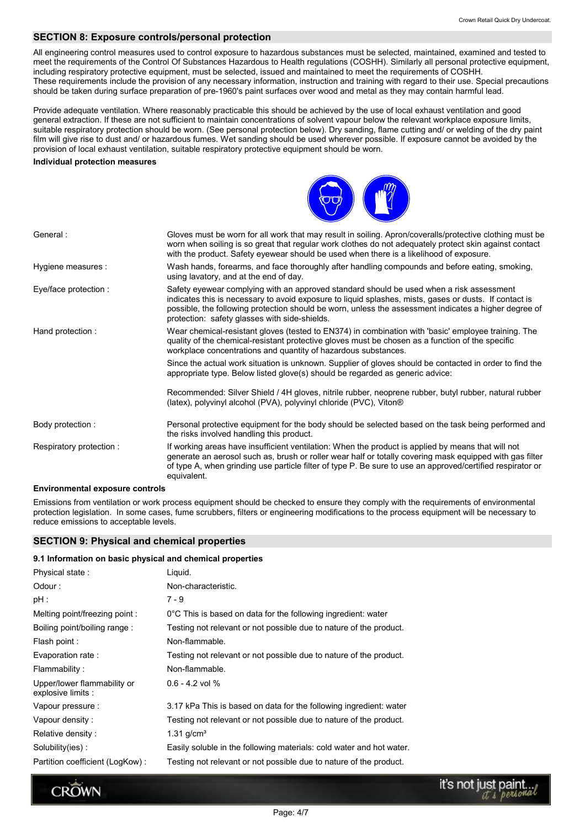# **SECTION 8: Exposure controls/personal protection**

All engineering control measures used to control exposure to hazardous substances must be selected, maintained, examined and tested to meet the requirements of the Control Of Substances Hazardous to Health regulations (COSHH). Similarly all personal protective equipment, including respiratory protective equipment, must be selected, issued and maintained to meet the requirements of COSHH. These requirements include the provision of any necessary information, instruction and training with regard to their use. Special precautions should be taken during surface preparation of pre-1960's paint surfaces over wood and metal as they may contain harmful lead.

Provide adequate ventilation. Where reasonably practicable this should be achieved by the use of local exhaust ventilation and good general extraction. If these are not sufficient to maintain concentrations of solvent vapour below the relevant workplace exposure limits, suitable respiratory protection should be worn. (See personal protection below). Dry sanding, flame cutting and/ or welding of the dry paint film will give rise to dust and/ or hazardous fumes. Wet sanding should be used wherever possible. If exposure cannot be avoided by the provision of local exhaust ventilation, suitable respiratory protective equipment should be worn.

#### Individual protection measures



| General:                | Gloves must be worn for all work that may result in soiling. Apron/coveralls/protective clothing must be<br>worn when soiling is so great that regular work clothes do not adequately protect skin against contact<br>with the product. Safety eyewear should be used when there is a likelihood of exposure.                                                |
|-------------------------|--------------------------------------------------------------------------------------------------------------------------------------------------------------------------------------------------------------------------------------------------------------------------------------------------------------------------------------------------------------|
| Hygiene measures :      | Wash hands, forearms, and face thoroughly after handling compounds and before eating, smoking,<br>using lavatory, and at the end of day.                                                                                                                                                                                                                     |
| Eye/face protection :   | Safety eyewear complying with an approved standard should be used when a risk assessment<br>indicates this is necessary to avoid exposure to liquid splashes, mists, gases or dusts. If contact is<br>possible, the following protection should be worn, unless the assessment indicates a higher degree of<br>protection: safety glasses with side-shields. |
| Hand protection :       | Wear chemical-resistant gloves (tested to EN374) in combination with 'basic' employee training. The<br>quality of the chemical-resistant protective gloves must be chosen as a function of the specific<br>workplace concentrations and quantity of hazardous substances.                                                                                    |
|                         | Since the actual work situation is unknown. Supplier of gloves should be contacted in order to find the<br>appropriate type. Below listed glove(s) should be regarded as generic advice:                                                                                                                                                                     |
|                         | Recommended: Silver Shield / 4H gloves, nitrile rubber, neoprene rubber, butyl rubber, natural rubber<br>(latex), polyvinyl alcohol (PVA), polyvinyl chloride (PVC), Viton®                                                                                                                                                                                  |
| Body protection :       | Personal protective equipment for the body should be selected based on the task being performed and<br>the risks involved handling this product.                                                                                                                                                                                                             |
| Respiratory protection: | If working areas have insufficient ventilation: When the product is applied by means that will not<br>generate an aerosol such as, brush or roller wear half or totally covering mask equipped with gas filter<br>of type A, when grinding use particle filter of type P. Be sure to use an approved/certified respirator or<br>equivalent.                  |

# **Environmental exposure controls**

**CROWN** 

Emissions from ventilation or work process equipment should be checked to ensure they comply with the requirements of environmental protection legislation. In some cases, fume scrubbers, filters or engineering modifications to the process equipment will be necessary to reduce emissions to acceptable levels.

# **SECTION 9: Physical and chemical properties**

# 9.1 Information on basic physical and chemical properties

| Physical state:                                   | Liquid.                                                                 |
|---------------------------------------------------|-------------------------------------------------------------------------|
| Odour:                                            | Non-characteristic.                                                     |
| pH :                                              | 7 - 9                                                                   |
| Melting point/freezing point:                     | $0^{\circ}$ C This is based on data for the following ingredient: water |
| Boiling point/boiling range:                      | Testing not relevant or not possible due to nature of the product.      |
| Flash point:                                      | Non-flammable.                                                          |
| Evaporation rate:                                 | Testing not relevant or not possible due to nature of the product.      |
| Flammability:                                     | Non-flammable.                                                          |
| Upper/lower flammability or<br>explosive limits : | $0.6 - 4.2$ vol %                                                       |
| Vapour pressure :                                 | 3.17 kPa This is based on data for the following ingredient: water      |
| Vapour density:                                   | Testing not relevant or not possible due to nature of the product.      |
| Relative density:                                 | $1.31$ g/cm <sup>3</sup>                                                |
| Solubility(ies):                                  | Easily soluble in the following materials: cold water and hot water.    |
| Partition coefficient (LogKow):                   | Testing not relevant or not possible due to nature of the product.      |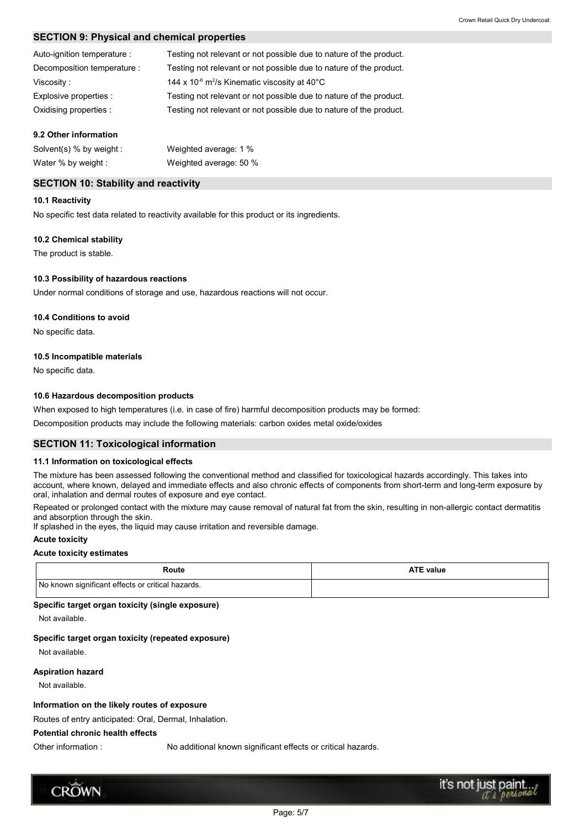# **SECTION 9: Physical and chemical properties**

| Auto-ignition temperature : | Testing not relevant or not possible due to nature of the product.   |
|-----------------------------|----------------------------------------------------------------------|
| Decomposition temperature : | Testing not relevant or not possible due to nature of the product.   |
| Viscosity:                  | 144 x 10 <sup>-6</sup> m <sup>2</sup> /s Kinematic viscosity at 40°C |
| Explosive properties :      | Testing not relevant or not possible due to nature of the product.   |
| Oxidising properties :      | Testing not relevant or not possible due to nature of the product.   |

# 9.2 Other information

| Solvent(s) $%$ by weight : | Weighted average: 1 %  |
|----------------------------|------------------------|
| Water % by weight :        | Weighted average: 50 % |

# **SECTION 10: Stability and reactivity**

### 10.1 Reactivity

No specific test data related to reactivity available for this product or its ingredients.

# 10.2 Chemical stability

The product is stable.

# 10.3 Possibility of hazardous reactions

Under normal conditions of storage and use, hazardous reactions will not occur.

# 10.4 Conditions to avoid

No specific data.

# 10.5 Incompatible materials

No specific data.

# 10.6 Hazardous decomposition products

When exposed to high temperatures (i.e. in case of fire) harmful decomposition products may be formed:

Decomposition products may include the following materials: carbon oxides metal oxide/oxides

# **SECTION 11: Toxicological information**

# 11.1 Information on toxicological effects

The mixture has been assessed following the conventional method and classified for toxicological hazards accordingly. This takes into account, where known, delayed and immediate effects and also chronic effects of components from short-term and long-term exposure by oral, inhalation and dermal routes of exposure and eye contact.

Repeated or prolonged contact with the mixture may cause removal of natural fat from the skin, resulting in non-allergic contact dermatitis and absorption through the skin.

If splashed in the eyes, the liquid may cause irritation and reversible damage.

### **Acute toxicity**

### **Acute toxicity estimates**

| Route                                             | <b>ATE value</b> |
|---------------------------------------------------|------------------|
| No known significant effects or critical hazards. |                  |

### Specific target organ toxicity (single exposure)

Not available.

# Specific target organ toxicity (repeated exposure)

Not available.

### **Aspiration hazard**

Not available

# Information on the likely routes of exposure

Routes of entry anticipated: Oral, Dermal, Inhalation.

# **Potential chronic health effects**

Other information :

No additional known significant effects or critical hazards.

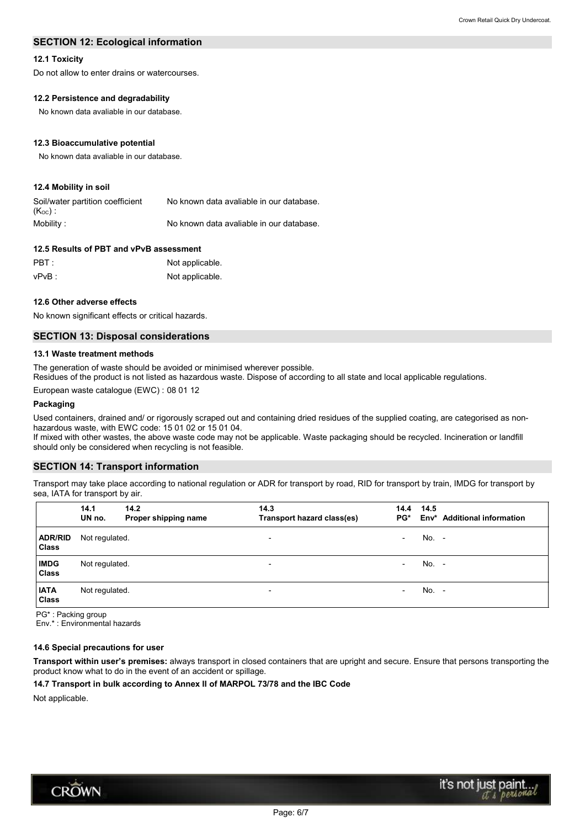# **SECTION 12: Ecological information**

# 12.1 Toxicity

Do not allow to enter drains or watercourses.

### 12.2 Persistence and degradability

No known data avaliable in our database.

### 12.3 Bioaccumulative potential

No known data avaliable in our database.

# 12.4 Mobility in soil

| Soil/water partition coefficient | No known data avaliable in our database. |
|----------------------------------|------------------------------------------|
| ( $K_{\rm OC}$ ) :               |                                          |
| Mobility :                       | No known data avaliable in our database. |

### 12.5 Results of PBT and vPvB assessment

| $\mathsf{PBT}$ : | Not applicable. |
|------------------|-----------------|
| vPvB :           | Not applicable. |

### 12.6 Other adverse effects

No known significant effects or critical hazards.

### **SECTION 13: Disposal considerations**

### 13.1 Waste treatment methods

The generation of waste should be avoided or minimised wherever possible.

Residues of the product is not listed as hazardous waste. Dispose of according to all state and local applicable regulations.

European waste catalogue (EWC) : 08 01 12

### Packaging

Used containers, drained and/ or rigorously scraped out and containing dried residues of the supplied coating, are categorised as nonhazardous waste, with EWC code: 15 01 02 or 15 01 04.

If mixed with other wastes, the above waste code may not be applicable. Waste packaging should be recycled. Incineration or landfill should only be considered when recycling is not feasible.

# **SECTION 14: Transport information**

Transport may take place according to national regulation or ADR for transport by road, RID for transport by train, IMDG for transport by sea, IATA for transport by air.

|                                | 14.1<br>UN no. | 14.2<br>Proper shipping name | 14.3<br>Transport hazard class(es) | 14.4<br>$PG^*$           | 14.5    | Env* Additional information |
|--------------------------------|----------------|------------------------------|------------------------------------|--------------------------|---------|-----------------------------|
| <b>ADR/RID</b><br><b>Class</b> | Not regulated. |                              | $\overline{\phantom{a}}$           | $\overline{\phantom{0}}$ | No. -   |                             |
| <b>IMDG</b><br><b>Class</b>    | Not regulated. |                              | $\overline{\phantom{a}}$           | $\overline{\phantom{a}}$ | $No. -$ |                             |
| <b>IATA</b><br><b>Class</b>    | Not regulated. |                              | $\overline{\phantom{a}}$           | $\overline{\phantom{a}}$ | $No. -$ |                             |

PG\*: Packing group

Env.\*: Environmental hazards

### 14.6 Special precautions for user

Transport within user's premises: always transport in closed containers that are upright and secure. Ensure that persons transporting the product know what to do in the event of an accident or spillage.

### 14.7 Transport in bulk according to Annex II of MARPOL 73/78 and the IBC Code

Not applicable.